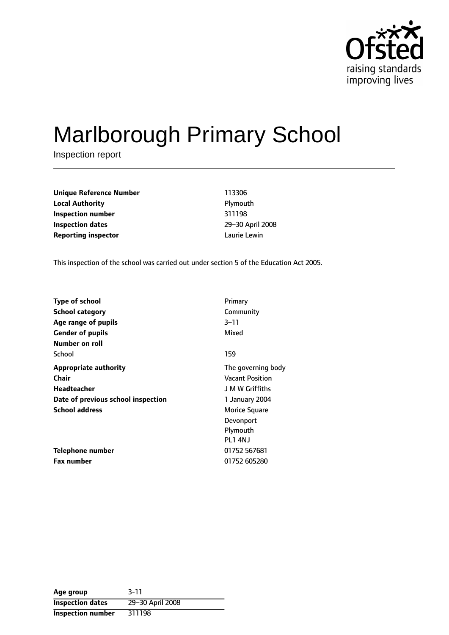

# Marlborough Primary School

Inspection report

**Unique Reference Number** 113306 **Local Authority Plymouth Inspection number** 311198 **Inspection dates** 29-30 April 2008 **Reporting inspector and a lattice Lewin** Laurie Lewin

This inspection of the school was carried out under section 5 of the Education Act 2005.

| <b>Type of school</b>              | Primary                |
|------------------------------------|------------------------|
| <b>School category</b>             | Community              |
| Age range of pupils                | $3 - 11$               |
| <b>Gender of pupils</b>            | Mixed                  |
| Number on roll                     |                        |
| School                             | 159                    |
| <b>Appropriate authority</b>       | The governing body     |
| <b>Chair</b>                       | <b>Vacant Position</b> |
| Headteacher                        | J M W Griffiths        |
| Date of previous school inspection | 1 January 2004         |
| <b>School address</b>              | Morice Square          |
|                                    | Devonport              |
|                                    | Plymouth               |
|                                    | <b>PL1 4NJ</b>         |
| Telephone number                   | 01752 567681           |
| <b>Fax number</b>                  | 01752 605280           |

| Age group                | $3 - 11$         |
|--------------------------|------------------|
| <b>Inspection dates</b>  | 29-30 April 2008 |
| <b>Inspection number</b> | 311198           |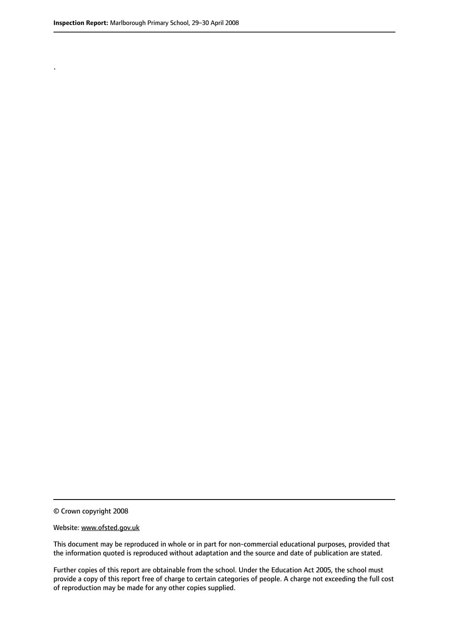.

This document may be reproduced in whole or in part for non-commercial educational purposes, provided that the information quoted is reproduced without adaptation and the source and date of publication are stated.

Further copies of this report are obtainable from the school. Under the Education Act 2005, the school must provide a copy of this report free of charge to certain categories of people. A charge not exceeding the full cost of reproduction may be made for any other copies supplied.

<sup>©</sup> Crown copyright 2008

Website: www.ofsted.gov.uk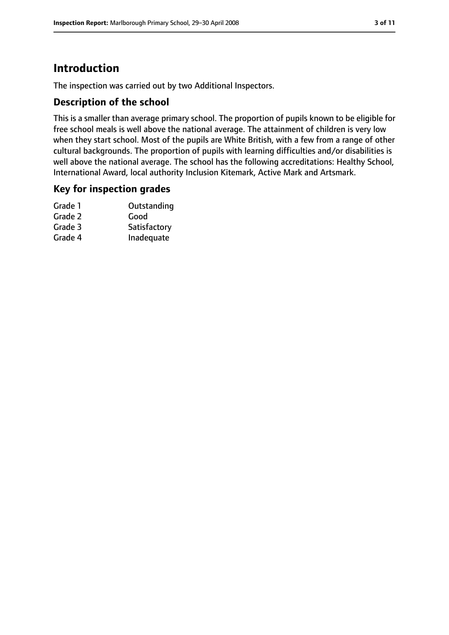## **Introduction**

The inspection was carried out by two Additional Inspectors.

#### **Description of the school**

This is a smaller than average primary school. The proportion of pupils known to be eligible for free school meals is well above the national average. The attainment of children is very low when they start school. Most of the pupils are White British, with a few from a range of other cultural backgrounds. The proportion of pupils with learning difficulties and/or disabilities is well above the national average. The school has the following accreditations: Healthy School, International Award, local authority Inclusion Kitemark, Active Mark and Artsmark.

#### **Key for inspection grades**

| Grade 1 | Outstanding  |
|---------|--------------|
| Grade 2 | Good         |
| Grade 3 | Satisfactory |
| Grade 4 | Inadequate   |
|         |              |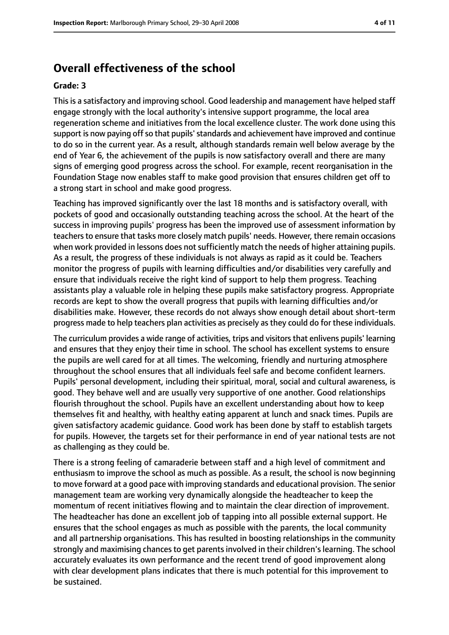### **Overall effectiveness of the school**

#### **Grade: 3**

This is a satisfactory and improving school. Good leadership and management have helped staff engage strongly with the local authority's intensive support programme, the local area regeneration scheme and initiatives from the local excellence cluster. The work done using this support is now paying off so that pupils' standards and achievement have improved and continue to do so in the current year. As a result, although standards remain well below average by the end of Year 6, the achievement of the pupils is now satisfactory overall and there are many signs of emerging good progress across the school. For example, recent reorganisation in the Foundation Stage now enables staff to make good provision that ensures children get off to a strong start in school and make good progress.

Teaching has improved significantly over the last 18 months and is satisfactory overall, with pockets of good and occasionally outstanding teaching across the school. At the heart of the success in improving pupils' progress has been the improved use of assessment information by teachers to ensure that tasks more closely match pupils' needs. However, there remain occasions when work provided in lessons does not sufficiently match the needs of higher attaining pupils. As a result, the progress of these individuals is not always as rapid as it could be. Teachers monitor the progress of pupils with learning difficulties and/or disabilities very carefully and ensure that individuals receive the right kind of support to help them progress. Teaching assistants play a valuable role in helping these pupils make satisfactory progress. Appropriate records are kept to show the overall progress that pupils with learning difficulties and/or disabilities make. However, these records do not always show enough detail about short-term progress made to help teachers plan activities as precisely as they could do for these individuals.

The curriculum provides a wide range of activities, trips and visitorsthat enlivens pupils' learning and ensures that they enjoy their time in school. The school has excellent systems to ensure the pupils are well cared for at all times. The welcoming, friendly and nurturing atmosphere throughout the school ensures that all individuals feel safe and become confident learners. Pupils' personal development, including their spiritual, moral, social and cultural awareness, is good. They behave well and are usually very supportive of one another. Good relationships flourish throughout the school. Pupils have an excellent understanding about how to keep themselves fit and healthy, with healthy eating apparent at lunch and snack times. Pupils are given satisfactory academic guidance. Good work has been done by staff to establish targets for pupils. However, the targets set for their performance in end of year national tests are not as challenging as they could be.

There is a strong feeling of camaraderie between staff and a high level of commitment and enthusiasm to improve the school as much as possible. As a result, the school is now beginning to move forward at a good pace with improving standards and educational provision. The senior management team are working very dynamically alongside the headteacher to keep the momentum of recent initiatives flowing and to maintain the clear direction of improvement. The headteacher has done an excellent job of tapping into all possible external support. He ensures that the school engages as much as possible with the parents, the local community and all partnership organisations. This has resulted in boosting relationships in the community strongly and maximising chances to get parents involved in their children's learning. The school accurately evaluates its own performance and the recent trend of good improvement along with clear development plans indicates that there is much potential for this improvement to be sustained.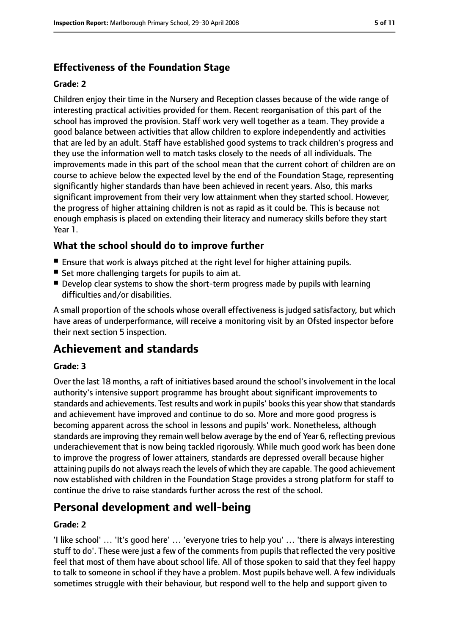### **Effectiveness of the Foundation Stage**

#### **Grade: 2**

Children enjoy their time in the Nursery and Reception classes because of the wide range of interesting practical activities provided for them. Recent reorganisation of this part of the school has improved the provision. Staff work very well together as a team. They provide a good balance between activities that allow children to explore independently and activities that are led by an adult. Staff have established good systems to track children's progress and they use the information well to match tasks closely to the needs of all individuals. The improvements made in this part of the school mean that the current cohort of children are on course to achieve below the expected level by the end of the Foundation Stage, representing significantly higher standards than have been achieved in recent years. Also, this marks significant improvement from their very low attainment when they started school. However, the progress of higher attaining children is not as rapid as it could be. This is because not enough emphasis is placed on extending their literacy and numeracy skills before they start Year 1.

#### **What the school should do to improve further**

- Ensure that work is always pitched at the right level for higher attaining pupils.
- Set more challenging targets for pupils to aim at.
- Develop clear systems to show the short-term progress made by pupils with learning difficulties and/or disabilities.

A small proportion of the schools whose overall effectiveness is judged satisfactory, but which have areas of underperformance, will receive a monitoring visit by an Ofsted inspector before their next section 5 inspection.

### **Achievement and standards**

#### **Grade: 3**

Over the last 18 months, a raft of initiatives based around the school's involvement in the local authority's intensive support programme has brought about significant improvements to standards and achievements. Test results and work in pupils' books this year show that standards and achievement have improved and continue to do so. More and more good progress is becoming apparent across the school in lessons and pupils' work. Nonetheless, although standards are improving they remain well below average by the end of Year 6, reflecting previous underachievement that is now being tackled rigorously. While much good work has been done to improve the progress of lower attainers, standards are depressed overall because higher attaining pupils do not always reach the levels of which they are capable. The good achievement now established with children in the Foundation Stage provides a strong platform for staff to continue the drive to raise standards further across the rest of the school.

### **Personal development and well-being**

#### **Grade: 2**

'I like school' … 'It's good here' … 'everyone tries to help you' … 'there is always interesting stuff to do'. These were just a few of the comments from pupils that reflected the very positive feel that most of them have about school life. All of those spoken to said that they feel happy to talk to someone in school if they have a problem. Most pupils behave well. A few individuals sometimes struggle with their behaviour, but respond well to the help and support given to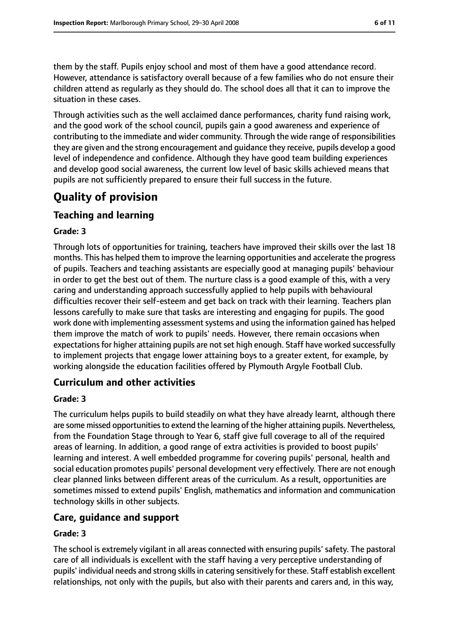them by the staff. Pupils enjoy school and most of them have a good attendance record. However, attendance is satisfactory overall because of a few families who do not ensure their children attend as regularly as they should do. The school does all that it can to improve the situation in these cases.

Through activities such as the well acclaimed dance performances, charity fund raising work, and the good work of the school council, pupils gain a good awareness and experience of contributing to the immediate and wider community. Through the wide range of responsibilities they are given and the strong encouragement and guidance they receive, pupils develop a good level of independence and confidence. Although they have good team building experiences and develop good social awareness, the current low level of basic skills achieved means that pupils are not sufficiently prepared to ensure their full success in the future.

### **Quality of provision**

### **Teaching and learning**

#### **Grade: 3**

Through lots of opportunities for training, teachers have improved their skills over the last 18 months. This has helped them to improve the learning opportunities and accelerate the progress of pupils. Teachers and teaching assistants are especially good at managing pupils' behaviour in order to get the best out of them. The nurture class is a good example of this, with a very caring and understanding approach successfully applied to help pupils with behavioural difficulties recover their self-esteem and get back on track with their learning. Teachers plan lessons carefully to make sure that tasks are interesting and engaging for pupils. The good work done with implementing assessment systems and using the information gained has helped them improve the match of work to pupils' needs. However, there remain occasions when expectations for higher attaining pupils are not set high enough. Staff have worked successfully to implement projects that engage lower attaining boys to a greater extent, for example, by working alongside the education facilities offered by Plymouth Argyle Football Club.

#### **Curriculum and other activities**

#### **Grade: 3**

The curriculum helps pupils to build steadily on what they have already learnt, although there are some missed opportunities to extend the learning of the higher attaining pupils. Nevertheless, from the Foundation Stage through to Year 6, staff give full coverage to all of the required areas of learning. In addition, a good range of extra activities is provided to boost pupils' learning and interest. A well embedded programme for covering pupils' personal, health and social education promotes pupils' personal development very effectively. There are not enough clear planned links between different areas of the curriculum. As a result, opportunities are sometimes missed to extend pupils' English, mathematics and information and communication technology skills in other subjects.

#### **Care, guidance and support**

#### **Grade: 3**

The school is extremely vigilant in all areas connected with ensuring pupils' safety. The pastoral care of all individuals is excellent with the staff having a very perceptive understanding of pupils' individual needs and strong skillsin catering sensitively for these. Staff establish excellent relationships, not only with the pupils, but also with their parents and carers and, in this way,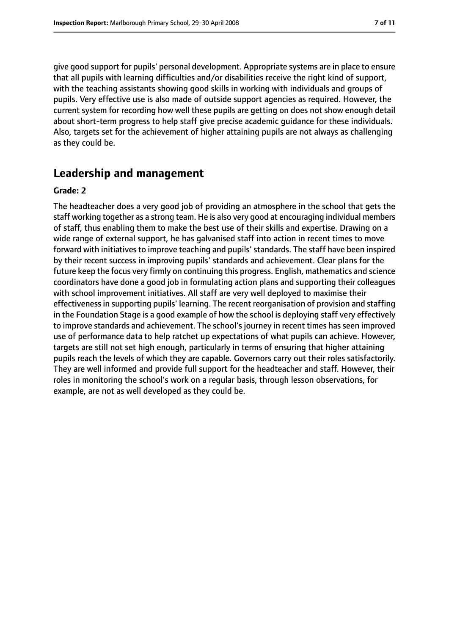give good support for pupils' personal development. Appropriate systems are in place to ensure that all pupils with learning difficulties and/or disabilities receive the right kind of support, with the teaching assistants showing good skills in working with individuals and groups of pupils. Very effective use is also made of outside support agencies as required. However, the current system for recording how well these pupils are getting on does not show enough detail about short-term progress to help staff give precise academic guidance for these individuals. Also, targets set for the achievement of higher attaining pupils are not always as challenging as they could be.

### **Leadership and management**

#### **Grade: 2**

The headteacher does a very good job of providing an atmosphere in the school that gets the staff working together as a strong team. He is also very good at encouraging individual members of staff, thus enabling them to make the best use of their skills and expertise. Drawing on a wide range of external support, he has galvanised staff into action in recent times to move forward with initiatives to improve teaching and pupils' standards. The staff have been inspired by their recent success in improving pupils' standards and achievement. Clear plans for the future keep the focus very firmly on continuing this progress. English, mathematics and science coordinators have done a good job in formulating action plans and supporting their colleagues with school improvement initiatives. All staff are very well deployed to maximise their effectiveness in supporting pupils' learning. The recent reorganisation of provision and staffing in the Foundation Stage is a good example of how the school is deploying staff very effectively to improve standards and achievement. The school's journey in recent times has seen improved use of performance data to help ratchet up expectations of what pupils can achieve. However, targets are still not set high enough, particularly in terms of ensuring that higher attaining pupils reach the levels of which they are capable. Governors carry out their roles satisfactorily. They are well informed and provide full support for the headteacher and staff. However, their roles in monitoring the school's work on a regular basis, through lesson observations, for example, are not as well developed as they could be.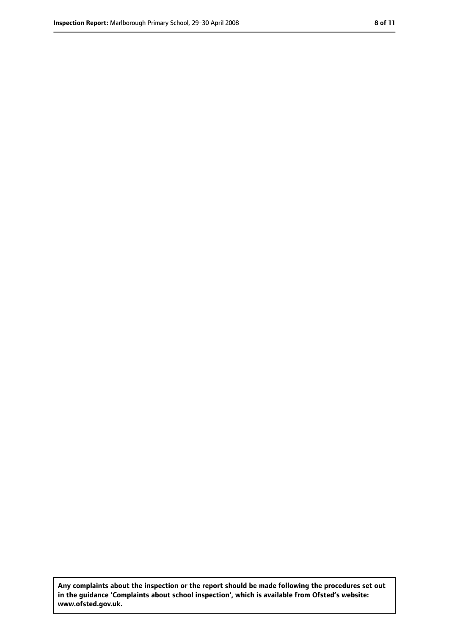**Any complaints about the inspection or the report should be made following the procedures set out in the guidance 'Complaints about school inspection', which is available from Ofsted's website: www.ofsted.gov.uk.**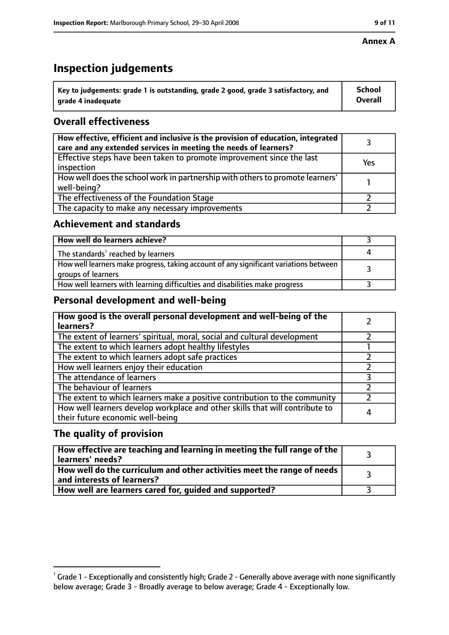#### **Annex A**

### **Inspection judgements**

| $^{\circ}$ Key to judgements: grade 1 is outstanding, grade 2 good, grade 3 satisfactory, and | <b>School</b>  |
|-----------------------------------------------------------------------------------------------|----------------|
| arade 4 inadequate                                                                            | <b>Overall</b> |

### **Overall effectiveness**

| How effective, efficient and inclusive is the provision of education, integrated<br>care and any extended services in meeting the needs of learners? |     |
|------------------------------------------------------------------------------------------------------------------------------------------------------|-----|
| Effective steps have been taken to promote improvement since the last<br>inspection                                                                  | Yes |
| How well does the school work in partnership with others to promote learners'<br>well-being?                                                         |     |
| The effectiveness of the Foundation Stage                                                                                                            |     |
| The capacity to make any necessary improvements                                                                                                      |     |

#### **Achievement and standards**

| How well do learners achieve?                                                                               |  |
|-------------------------------------------------------------------------------------------------------------|--|
| The standards <sup>1</sup> reached by learners                                                              |  |
| How well learners make progress, taking account of any significant variations between<br>groups of learners |  |
| How well learners with learning difficulties and disabilities make progress                                 |  |

#### **Personal development and well-being**

| How good is the overall personal development and well-being of the<br>learners?                                  |  |
|------------------------------------------------------------------------------------------------------------------|--|
| The extent of learners' spiritual, moral, social and cultural development                                        |  |
| The extent to which learners adopt healthy lifestyles                                                            |  |
| The extent to which learners adopt safe practices                                                                |  |
| How well learners enjoy their education                                                                          |  |
| The attendance of learners                                                                                       |  |
| The behaviour of learners                                                                                        |  |
| The extent to which learners make a positive contribution to the community                                       |  |
| How well learners develop workplace and other skills that will contribute to<br>their future economic well-being |  |

#### **The quality of provision**

| How effective are teaching and learning in meeting the full range of the<br>learners' needs?          |  |
|-------------------------------------------------------------------------------------------------------|--|
| How well do the curriculum and other activities meet the range of needs<br>and interests of learners? |  |
| How well are learners cared for, guided and supported?                                                |  |

 $^1$  Grade 1 - Exceptionally and consistently high; Grade 2 - Generally above average with none significantly below average; Grade 3 - Broadly average to below average; Grade 4 - Exceptionally low.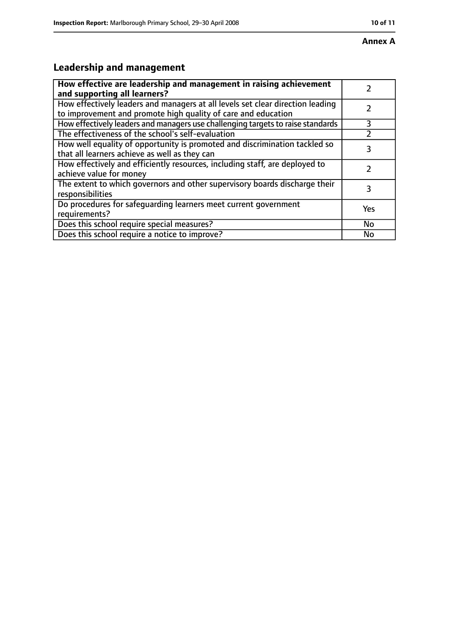## **Leadership and management**

| How effective are leadership and management in raising achievement<br>and supporting all learners?                                              |     |
|-------------------------------------------------------------------------------------------------------------------------------------------------|-----|
| How effectively leaders and managers at all levels set clear direction leading<br>to improvement and promote high quality of care and education |     |
| How effectively leaders and managers use challenging targets to raise standards                                                                 | 3   |
| The effectiveness of the school's self-evaluation                                                                                               |     |
| How well equality of opportunity is promoted and discrimination tackled so<br>that all learners achieve as well as they can                     | 3   |
| How effectively and efficiently resources, including staff, are deployed to<br>achieve value for money                                          |     |
| The extent to which governors and other supervisory boards discharge their<br>responsibilities                                                  | 3   |
| Do procedures for safequarding learners meet current government<br>requirements?                                                                | Yes |
| Does this school require special measures?                                                                                                      | No  |
| Does this school require a notice to improve?                                                                                                   | No  |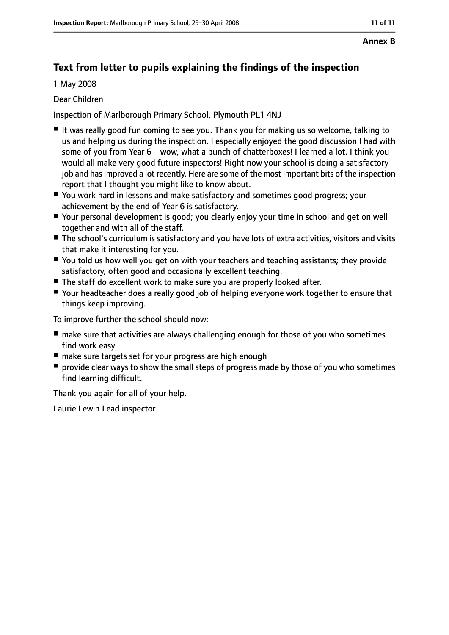#### **Annex B**

### **Text from letter to pupils explaining the findings of the inspection**

1 May 2008

#### Dear Children

Inspection of Marlborough Primary School, Plymouth PL1 4NJ

- It was really good fun coming to see you. Thank you for making us so welcome, talking to us and helping us during the inspection. I especially enjoyed the good discussion I had with some of you from Year 6 - wow, what a bunch of chatterboxes! I learned a lot. I think you would all make very good future inspectors! Right now your school is doing a satisfactory job and has improved a lot recently. Here are some of the most important bits of the inspection report that I thought you might like to know about.
- You work hard in lessons and make satisfactory and sometimes good progress; your achievement by the end of Year 6 is satisfactory.
- Your personal development is good; you clearly enjoy your time in school and get on well together and with all of the staff.
- The school's curriculum is satisfactory and you have lots of extra activities, visitors and visits that make it interesting for you.
- You told us how well you get on with your teachers and teaching assistants; they provide satisfactory, often good and occasionally excellent teaching.
- The staff do excellent work to make sure you are properly looked after.
- Your headteacher does a really good job of helping everyone work together to ensure that things keep improving.

To improve further the school should now:

- make sure that activities are always challenging enough for those of you who sometimes find work easy
- make sure targets set for your progress are high enough
- provide clear ways to show the small steps of progress made by those of you who sometimes find learning difficult.

Thank you again for all of your help.

Laurie Lewin Lead inspector